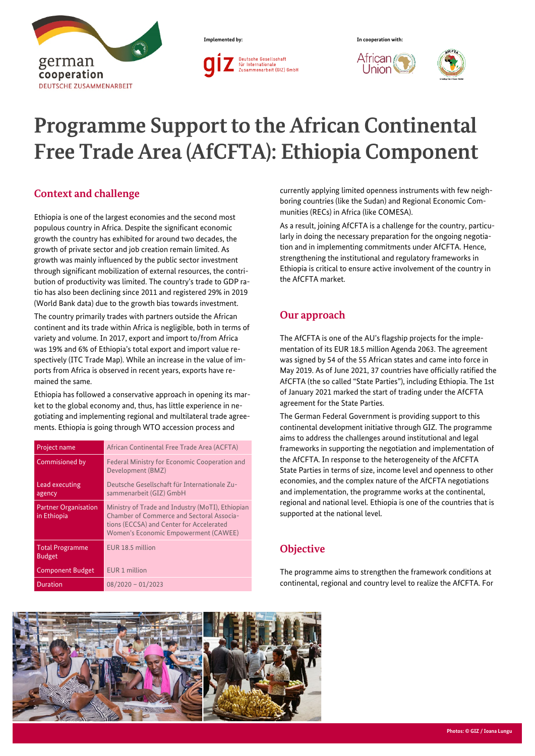



l Jnion



# **Programme Support to the African Continental Free Trade Area (AfCFTA): Ethiopia Component**

## **Context and challenge**

Ethiopia is one of the largest economies and the second most populous country in Africa. Despite the significant economic growth the country has exhibited for around two decades, the growth of private sector and job creation remain limited. As growth was mainly influenced by the public sector investment through significant mobilization of external resources, the contribution of productivity was limited. The country's trade to GDP ratio has also been declining since 2011 and registered 29% in 2019 (World Bank data) due to the growth bias towards investment.

The country primarily trades with partners outside the African continent and its trade within Africa is negligible, both in terms of variety and volume. In 2017, export and import to/from Africa was 19% and 6% of Ethiopia's total export and import value respectively (ITC Trade Map). While an increase in the value of imports from Africa is observed in recent years, exports have remained the same.

Ethiopia has followed a conservative approach in opening its market to the global economy and, thus, has little experience in negotiating and implementing regional and multilateral trade agreements. Ethiopia is going through WTO accession process and

| Project name                               | African Continental Free Trade Area (ACFTA)                                                                                                                                       |  |
|--------------------------------------------|-----------------------------------------------------------------------------------------------------------------------------------------------------------------------------------|--|
| Commisioned by                             | Federal Ministry for Economic Cooperation and<br>Development (BMZ)                                                                                                                |  |
| Lead executing<br>agency                   | Deutsche Gesellschaft für Internationale Zu-<br>sammenarbeit (GIZ) GmbH                                                                                                           |  |
| <b>Partner Organisation</b><br>in Ethiopia | Ministry of Trade and Industry (MoTI), Ethiopian<br>Chamber of Commerce and Sectoral Associa-<br>tions (ECCSA) and Center for Accelerated<br>Women's Economic Empowerment (CAWEE) |  |
| <b>Total Programme</b><br><b>Budget</b>    | EUR 18.5 million                                                                                                                                                                  |  |
| <b>Component Budget</b>                    | EUR 1 million                                                                                                                                                                     |  |
| <b>Duration</b>                            | $08/2020 - 01/2023$                                                                                                                                                               |  |

currently applying limited openness instruments with few neighboring countries (like the Sudan) and Regional Economic Communities (RECs) in Africa (like COMESA).

As a result, joining AfCFTA is a challenge for the country, particularly in doing the necessary preparation for the ongoing negotiation and in implementing commitments under AfCFTA. Hence, strengthening the institutional and regulatory frameworks in Ethiopia is critical to ensure active involvement of the country in the AfCFTA market.

## **Our approach**

The AfCFTA is one of the AU's flagship projects for the implementation of its EUR 18.5 million Agenda 2063. The agreement was signed by 54 of the 55 African states and came into force in May 2019. As of June 2021, 37 countries have officially ratified the AfCFTA (the so called "State Parties"), including Ethiopia. The 1st of January 2021 marked the start of trading under the AfCFTA agreement for the State Parties.

The German Federal Government is providing support to this continental development initiative through GIZ. The programme aims to address the challenges around institutional and legal frameworks in supporting the negotiation and implementation of the AfCFTA. In response to the heterogeneity of the AfCFTA State Parties in terms of size, income level and openness to other economies, and the complex nature of the AfCFTA negotiations and implementation, the programme works at the continental, regional and national level. Ethiopia is one of the countries that is supported at the national level.

## **Objective**

The programme aims to strengthen the framework conditions at continental, regional and country level to realize the AfCFTA. For